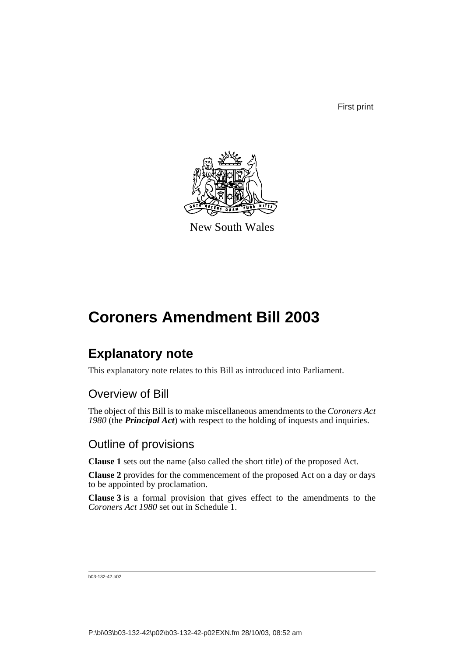First print



New South Wales

# **Coroners Amendment Bill 2003**

## **Explanatory note**

This explanatory note relates to this Bill as introduced into Parliament.

### Overview of Bill

The object of this Bill is to make miscellaneous amendments to the *Coroners Act 1980* (the *Principal Act*) with respect to the holding of inquests and inquiries.

### Outline of provisions

**Clause 1** sets out the name (also called the short title) of the proposed Act.

**Clause 2** provides for the commencement of the proposed Act on a day or days to be appointed by proclamation.

**Clause 3** is a formal provision that gives effect to the amendments to the *Coroners Act 1980* set out in Schedule 1.

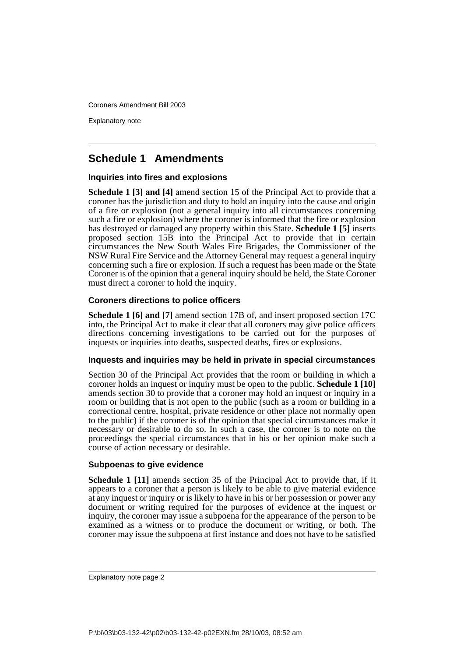Explanatory note

### **Schedule 1 Amendments**

#### **Inquiries into fires and explosions**

**Schedule 1 [3] and [4]** amend section 15 of the Principal Act to provide that a coroner has the jurisdiction and duty to hold an inquiry into the cause and origin of a fire or explosion (not a general inquiry into all circumstances concerning such a fire or explosion) where the coroner is informed that the fire or explosion has destroyed or damaged any property within this State. **Schedule 1 [5]** inserts proposed section 15B into the Principal Act to provide that in certain circumstances the New South Wales Fire Brigades, the Commissioner of the NSW Rural Fire Service and the Attorney General may request a general inquiry concerning such a fire or explosion. If such a request has been made or the State Coroner is of the opinion that a general inquiry should be held, the State Coroner must direct a coroner to hold the inquiry.

### **Coroners directions to police officers**

**Schedule 1 [6] and [7]** amend section 17B of, and insert proposed section 17C into, the Principal Act to make it clear that all coroners may give police officers directions concerning investigations to be carried out for the purposes of inquests or inquiries into deaths, suspected deaths, fires or explosions.

### **Inquests and inquiries may be held in private in special circumstances**

Section 30 of the Principal Act provides that the room or building in which a coroner holds an inquest or inquiry must be open to the public. **Schedule 1 [10]** amends section 30 to provide that a coroner may hold an inquest or inquiry in a room or building that is not open to the public (such as a room or building in a correctional centre, hospital, private residence or other place not normally open to the public) if the coroner is of the opinion that special circumstances make it necessary or desirable to do so. In such a case, the coroner is to note on the proceedings the special circumstances that in his or her opinion make such a course of action necessary or desirable.

### **Subpoenas to give evidence**

**Schedule 1 [11]** amends section 35 of the Principal Act to provide that, if it appears to a coroner that a person is likely to be able to give material evidence at any inquest or inquiry or is likely to have in his or her possession or power any document or writing required for the purposes of evidence at the inquest or inquiry, the coroner may issue a subpoena for the appearance of the person to be examined as a witness or to produce the document or writing, or both. The coroner may issue the subpoena at first instance and does not have to be satisfied

Explanatory note page 2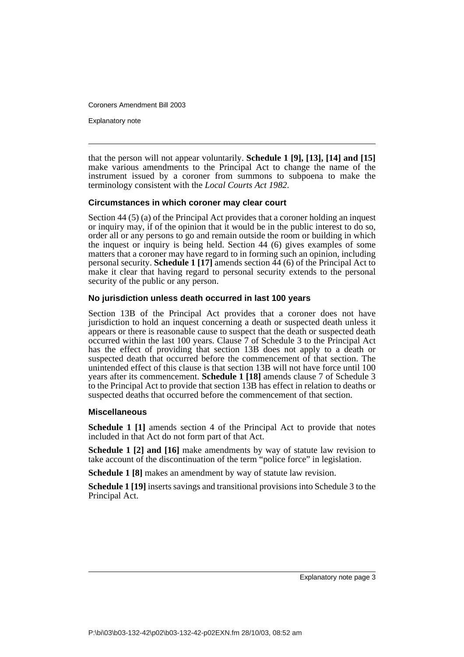Explanatory note

that the person will not appear voluntarily. **Schedule 1 [9], [13], [14] and [15]** make various amendments to the Principal Act to change the name of the instrument issued by a coroner from summons to subpoena to make the terminology consistent with the *Local Courts Act 1982*.

#### **Circumstances in which coroner may clear court**

Section 44 (5) (a) of the Principal Act provides that a coroner holding an inquest or inquiry may, if of the opinion that it would be in the public interest to do so, order all or any persons to go and remain outside the room or building in which the inquest or inquiry is being held. Section 44 (6) gives examples of some matters that a coroner may have regard to in forming such an opinion, including personal security. **Schedule 1 [17]** amends section 44 (6) of the Principal Act to make it clear that having regard to personal security extends to the personal security of the public or any person.

#### **No jurisdiction unless death occurred in last 100 years**

Section 13B of the Principal Act provides that a coroner does not have jurisdiction to hold an inquest concerning a death or suspected death unless it appears or there is reasonable cause to suspect that the death or suspected death occurred within the last 100 years. Clause 7 of Schedule 3 to the Principal Act has the effect of providing that section 13B does not apply to a death or suspected death that occurred before the commencement of that section. The unintended effect of this clause is that section 13B will not have force until 100 years after its commencement. **Schedule 1 [18]** amends clause 7 of Schedule 3 to the Principal Act to provide that section 13B has effect in relation to deaths or suspected deaths that occurred before the commencement of that section.

#### **Miscellaneous**

**Schedule 1** [1] amends section 4 of the Principal Act to provide that notes included in that Act do not form part of that Act.

**Schedule 1 [2] and [16]** make amendments by way of statute law revision to take account of the discontinuation of the term "police force" in legislation.

**Schedule 1 [8]** makes an amendment by way of statute law revision.

**Schedule 1 [19]** inserts savings and transitional provisions into Schedule 3 to the Principal Act.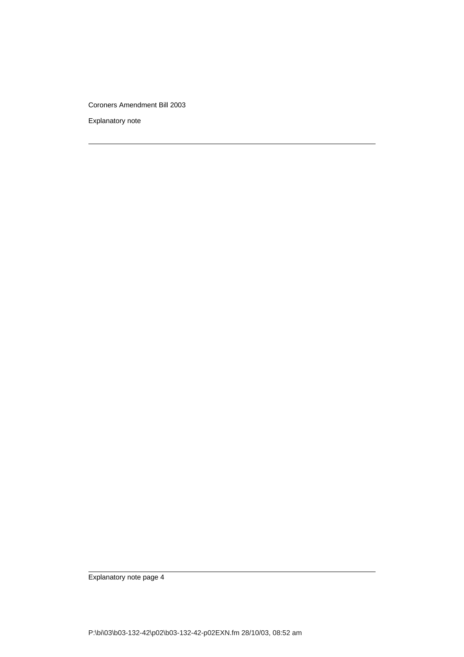Explanatory note

Explanatory note page 4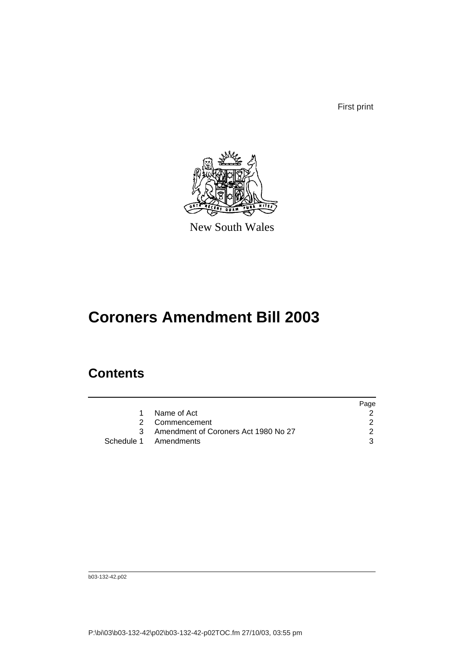First print



New South Wales

# **Coroners Amendment Bill 2003**

# **Contents**

|                                        | Page |
|----------------------------------------|------|
| 1 Name of Act                          |      |
| 2 Commencement                         |      |
| 3 Amendment of Coroners Act 1980 No 27 |      |
| Schedule 1 Amendments                  |      |

b03-132-42.p02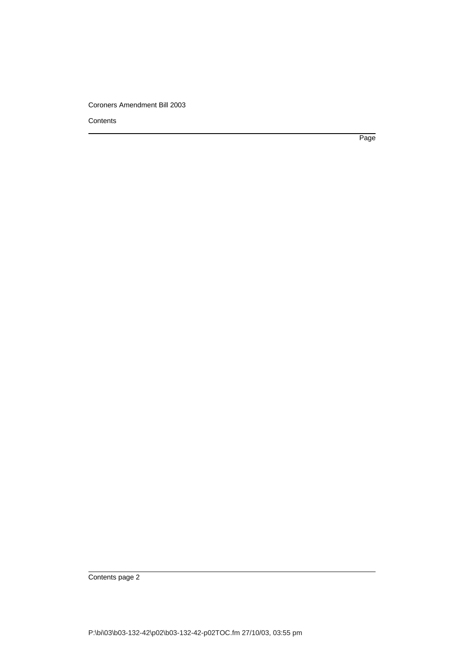**Contents** 

Page

Contents page 2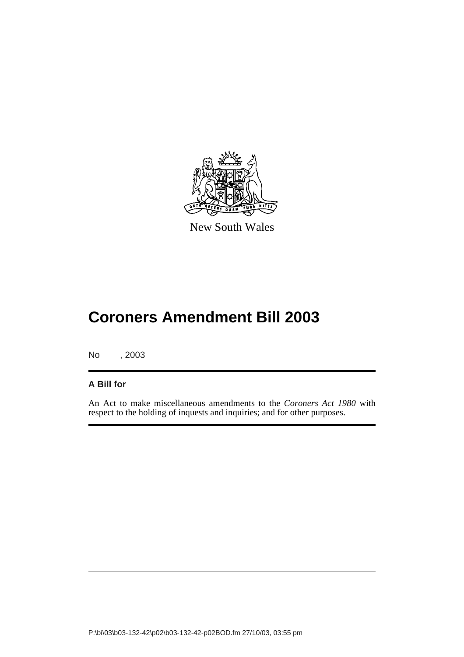

New South Wales

# **Coroners Amendment Bill 2003**

No , 2003

### **A Bill for**

An Act to make miscellaneous amendments to the *Coroners Act 1980* with respect to the holding of inquests and inquiries; and for other purposes.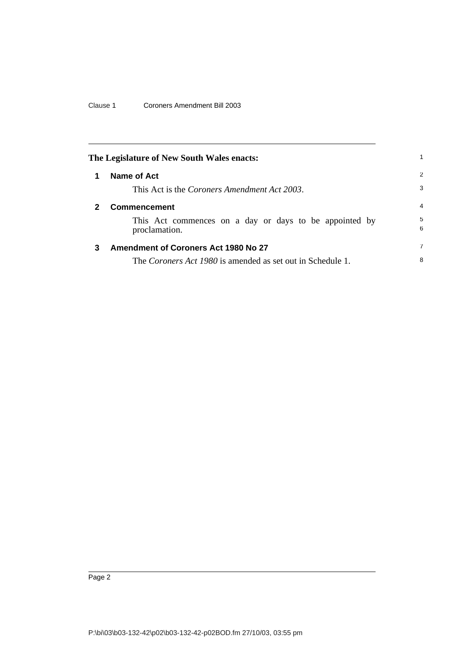| The Legislature of New South Wales enacts: |                                                                         | 1.             |
|--------------------------------------------|-------------------------------------------------------------------------|----------------|
|                                            | Name of Act                                                             | 2              |
|                                            | This Act is the <i>Coroners Amendment Act 2003</i> .                    | 3              |
|                                            | <b>Commencement</b>                                                     | $\overline{4}$ |
|                                            | This Act commences on a day or days to be appointed by<br>proclamation. | 5<br>6         |
| 3                                          | <b>Amendment of Coroners Act 1980 No 27</b>                             | 7              |
|                                            | The Coroners Act 1980 is amended as set out in Schedule 1.              | 8              |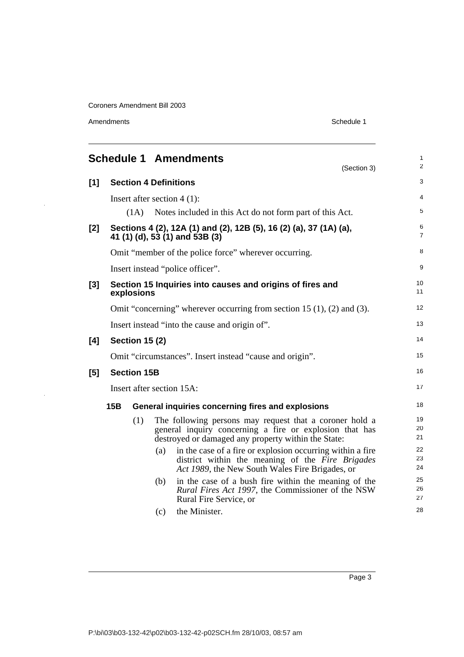Amendments Schedule 1

 $\frac{1}{2}$ 

 $\ddot{\phantom{a}}$ 

|       |                                                |                       |                               | <b>Schedule 1 Amendments</b>                                                                                                                                              | 1<br>2<br>(Section 3) |
|-------|------------------------------------------------|-----------------------|-------------------------------|---------------------------------------------------------------------------------------------------------------------------------------------------------------------------|-----------------------|
| [1]   |                                                |                       | <b>Section 4 Definitions</b>  |                                                                                                                                                                           | 3                     |
|       |                                                |                       | Insert after section $4(1)$ : |                                                                                                                                                                           | 4                     |
|       |                                                | (1A)                  |                               | Notes included in this Act do not form part of this Act.                                                                                                                  | 5                     |
| $[2]$ |                                                |                       |                               | Sections 4 (2), 12A (1) and (2), 12B (5), 16 (2) (a), 37 (1A) (a),<br>41 (1) (d), 53 (1) and 53B (3)                                                                      | 6<br>$\overline{7}$   |
|       |                                                |                       |                               | Omit "member of the police force" wherever occurring.                                                                                                                     | 8                     |
|       |                                                |                       |                               | Insert instead "police officer".                                                                                                                                          | 9                     |
| $[3]$ |                                                | explosions            |                               | Section 15 Inquiries into causes and origins of fires and                                                                                                                 | 10<br>11              |
|       |                                                |                       |                               | Omit "concerning" wherever occurring from section 15 $(1)$ , $(2)$ and $(3)$ .                                                                                            | 12                    |
|       | Insert instead "into the cause and origin of". |                       |                               | 13                                                                                                                                                                        |                       |
| [4]   |                                                | <b>Section 15 (2)</b> |                               |                                                                                                                                                                           | 14                    |
|       |                                                |                       |                               | Omit "circumstances". Insert instead "cause and origin".                                                                                                                  | 15                    |
| [5]   |                                                | <b>Section 15B</b>    |                               |                                                                                                                                                                           | 16                    |
|       | Insert after section 15A:                      |                       |                               |                                                                                                                                                                           | 17                    |
|       | 15B                                            |                       |                               | General inquiries concerning fires and explosions                                                                                                                         | 18                    |
|       |                                                | (1)                   |                               | The following persons may request that a coroner hold a<br>general inquiry concerning a fire or explosion that has<br>destroyed or damaged any property within the State: | 19<br>20<br>21        |
|       |                                                |                       | (a)                           | in the case of a fire or explosion occurring within a fire<br>district within the meaning of the Fire Brigades<br>Act 1989, the New South Wales Fire Brigades, or         | 22<br>23<br>24        |
|       |                                                |                       | (b)                           | in the case of a bush fire within the meaning of the<br>Rural Fires Act 1997, the Commissioner of the NSW<br>Rural Fire Service, or                                       | 25<br>26<br>27        |
|       |                                                |                       | (c)                           | the Minister.                                                                                                                                                             | 28                    |

Page 3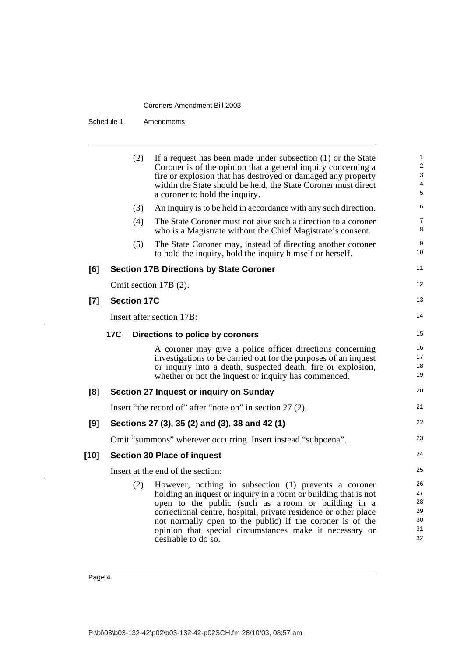Schedule 1 Amendments

|       |                    | (2)<br>If a request has been made under subsection (1) or the State<br>Coroner is of the opinion that a general inquiry concerning a<br>fire or explosion that has destroyed or damaged any property<br>within the State should be held, the State Coroner must direct<br>a coroner to hold the inquiry.                                                                                                 | 1<br>2<br>3<br>4<br>5                  |
|-------|--------------------|----------------------------------------------------------------------------------------------------------------------------------------------------------------------------------------------------------------------------------------------------------------------------------------------------------------------------------------------------------------------------------------------------------|----------------------------------------|
|       |                    | (3)<br>An inquiry is to be held in accordance with any such direction.                                                                                                                                                                                                                                                                                                                                   | 6                                      |
|       |                    | (4)<br>The State Coroner must not give such a direction to a coroner<br>who is a Magistrate without the Chief Magistrate's consent.                                                                                                                                                                                                                                                                      | $\overline{7}$<br>8                    |
|       |                    | The State Coroner may, instead of directing another coroner<br>(5)<br>to hold the inquiry, hold the inquiry himself or herself.                                                                                                                                                                                                                                                                          | 9<br>10                                |
| [6]   |                    | <b>Section 17B Directions by State Coroner</b>                                                                                                                                                                                                                                                                                                                                                           | 11                                     |
|       |                    | Omit section 17B (2).                                                                                                                                                                                                                                                                                                                                                                                    | 12                                     |
| $[7]$ | <b>Section 17C</b> |                                                                                                                                                                                                                                                                                                                                                                                                          | 13                                     |
|       |                    | Insert after section 17B:                                                                                                                                                                                                                                                                                                                                                                                | 14                                     |
|       | <b>17C</b>         | Directions to police by coroners                                                                                                                                                                                                                                                                                                                                                                         | 15                                     |
|       |                    | A coroner may give a police officer directions concerning<br>investigations to be carried out for the purposes of an inquest<br>or inquiry into a death, suspected death, fire or explosion,<br>whether or not the inquest or inquiry has commenced.                                                                                                                                                     | 16<br>17<br>18<br>19                   |
| [8]   |                    | Section 27 Inquest or inquiry on Sunday                                                                                                                                                                                                                                                                                                                                                                  | 20                                     |
|       |                    | Insert "the record of" after "note on" in section 27 (2).                                                                                                                                                                                                                                                                                                                                                | 21                                     |
| [9]   |                    | Sections 27 (3), 35 (2) and (3), 38 and 42 (1)                                                                                                                                                                                                                                                                                                                                                           | 22                                     |
|       |                    | Omit "summons" wherever occurring. Insert instead "subpoena".                                                                                                                                                                                                                                                                                                                                            | 23                                     |
| [10]  |                    | <b>Section 30 Place of inquest</b>                                                                                                                                                                                                                                                                                                                                                                       | 24                                     |
|       |                    | Insert at the end of the section:                                                                                                                                                                                                                                                                                                                                                                        | 25                                     |
|       |                    | (2)<br>However, nothing in subsection (1) prevents a coroner<br>holding an inquest or inquiry in a room or building that is not<br>open to the public (such as a room or building in a<br>correctional centre, hospital, private residence or other place<br>not normally open to the public) if the coroner is of the<br>opinion that special circumstances make it necessary or<br>desirable to do so. | 26<br>27<br>28<br>29<br>30<br>31<br>32 |

Page 4

 $\bar{z}$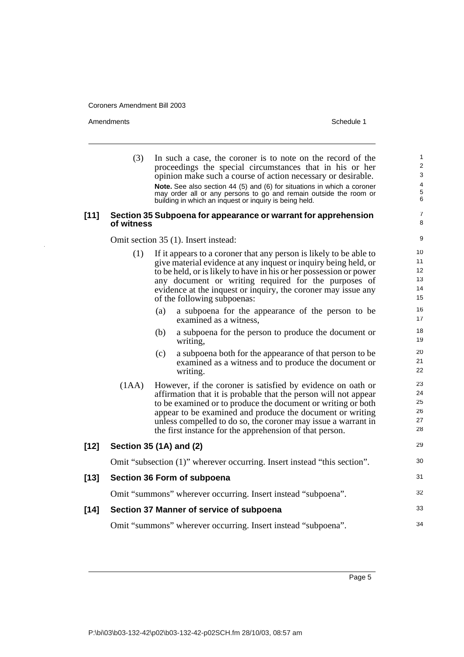Amendments **Amendments** Schedule 1

(3) In such a case, the coroner is to note on the record of the proceedings the special circumstances that in his or her opinion make such a course of action necessary or desirable. **Note.** See also section 44 (5) and (6) for situations in which a coroner may order all or any persons to go and remain outside the room or building in which an inquest or inquiry is being held. **[11] Section 35 Subpoena for appearance or warrant for apprehension of witness** Omit section 35 (1). Insert instead: (1) If it appears to a coroner that any person is likely to be able to give material evidence at any inquest or inquiry being held, or to be held, or is likely to have in his or her possession or power any document or writing required for the purposes of evidence at the inquest or inquiry, the coroner may issue any of the following subpoenas: (a) a subpoena for the appearance of the person to be examined as a witness, (b) a subpoena for the person to produce the document or writing, (c) a subpoena both for the appearance of that person to be examined as a witness and to produce the document or writing. (1AA) However, if the coroner is satisfied by evidence on oath or affirmation that it is probable that the person will not appear to be examined or to produce the document or writing or both appear to be examined and produce the document or writing unless compelled to do so, the coroner may issue a warrant in the first instance for the apprehension of that person. **[12] Section 35 (1A) and (2)** Omit "subsection (1)" wherever occurring. Insert instead "this section". **[13] Section 36 Form of subpoena** Omit "summons" wherever occurring. Insert instead "subpoena". **[14] Section 37 Manner of service of subpoena** Omit "summons" wherever occurring. Insert instead "subpoena". 1  $\overline{2}$ 3 4 5 6 7 8  $\alpha$ 10 11 12 13 14 15 16 17 18 19 20 21 22 23 24 25 26 27 28 29 30 31 32 33 34

Page 5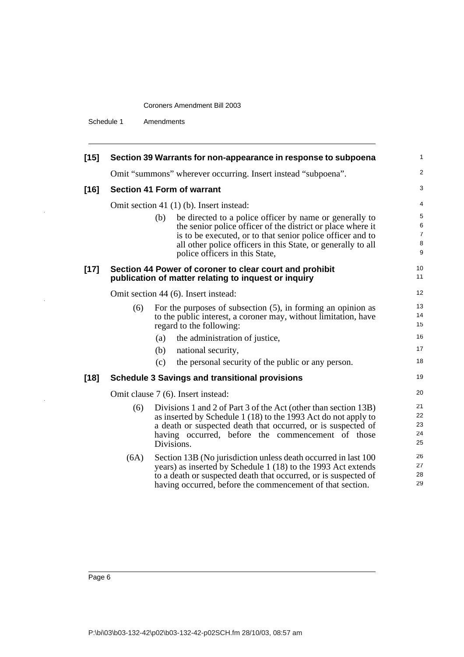Schedule 1 Amendments

 $\ddot{\phantom{a}}$ 

 $\bar{\psi}$ 

| $[15]$ |                                      | Section 39 Warrants for non-appearance in response to subpoena                                                                                                                                                                                                                                | $\mathbf{1}$                                      |
|--------|--------------------------------------|-----------------------------------------------------------------------------------------------------------------------------------------------------------------------------------------------------------------------------------------------------------------------------------------------|---------------------------------------------------|
|        |                                      | Omit "summons" wherever occurring. Insert instead "subpoena".                                                                                                                                                                                                                                 | 2                                                 |
| $[16]$ |                                      | <b>Section 41 Form of warrant</b>                                                                                                                                                                                                                                                             | 3                                                 |
|        |                                      | Omit section 41 (1) (b). Insert instead:                                                                                                                                                                                                                                                      | $\overline{4}$                                    |
|        |                                      | be directed to a police officer by name or generally to<br>(b)<br>the senior police officer of the district or place where it<br>is to be executed, or to that senior police officer and to<br>all other police officers in this State, or generally to all<br>police officers in this State, | 5<br>6<br>$\overline{7}$<br>8<br>$\boldsymbol{9}$ |
| $[17]$ |                                      | Section 44 Power of coroner to clear court and prohibit<br>publication of matter relating to inquest or inquiry                                                                                                                                                                               | 10<br>11                                          |
|        | Omit section 44 (6). Insert instead: |                                                                                                                                                                                                                                                                                               |                                                   |
|        | (6)                                  | For the purposes of subsection $(5)$ , in forming an opinion as<br>to the public interest, a coroner may, without limitation, have<br>regard to the following:                                                                                                                                | 13<br>14<br>15                                    |
|        |                                      | the administration of justice,<br>(a)                                                                                                                                                                                                                                                         | 16                                                |
|        |                                      | (b)<br>national security,                                                                                                                                                                                                                                                                     | 17                                                |
|        |                                      | the personal security of the public or any person.<br>(c)                                                                                                                                                                                                                                     | 18                                                |
| $[18]$ |                                      | <b>Schedule 3 Savings and transitional provisions</b>                                                                                                                                                                                                                                         | 19                                                |
|        |                                      | Omit clause 7 (6). Insert instead:                                                                                                                                                                                                                                                            | 20                                                |
|        | (6)                                  | Divisions 1 and 2 of Part 3 of the Act (other than section 13B)<br>as inserted by Schedule 1 (18) to the 1993 Act do not apply to<br>a death or suspected death that occurred, or is suspected of<br>having occurred, before the commencement of those<br>Divisions.                          | 21<br>22<br>23<br>24<br>25                        |
|        | (6A)                                 | Section 13B (No jurisdiction unless death occurred in last 100)<br>years) as inserted by Schedule 1 (18) to the 1993 Act extends<br>to a death or suspected death that occurred, or is suspected of<br>having occurred, before the commencement of that section.                              | 26<br>27<br>28<br>29                              |